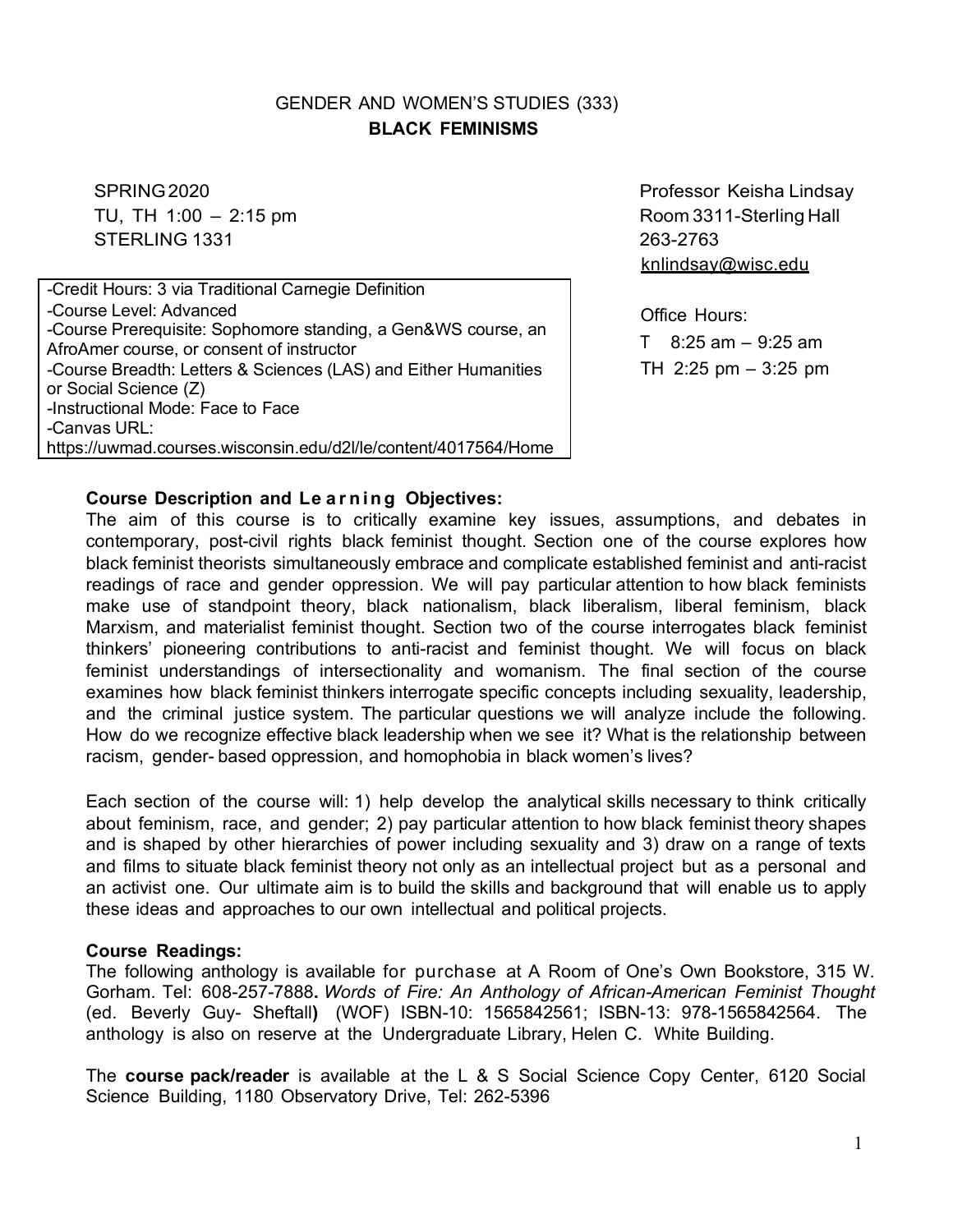# GENDER AND WOMEN'S STUDIES (333) **BLACK FEMINISMS**

TU, TH 1:00 – 2:15 pm example and the set of the Room 3311-Sterling Hall STERLING 1331 263-2763

*-*Credit Hours: 3 via Traditional Carnegie Definition *-*Course Level: Advanced *-*Course Prerequisite: Sophomore standing, a Gen&WS course, an AfroAmer course, or consent of instructor *-*Course Breadth: Letters & Sciences (LAS) and Either Humanities or Social Science (Z) *-*Instructional Mode: Face to Face *-*Canvas URL: https://uwmad.courses.wisconsin.edu/d2l/le/content/4017564/Home

SPRING 2020 **Professor Keisha Lindsay** knlindsay@wisc.edu

> Office Hours:  $T = 8:25$  am  $-9:25$  am TH 2:25 pm – 3:25 pm

### **Course Description and Le a r nin g Objectives:**

The aim of this course is to critically examine key issues, assumptions, and debates in contemporary, post-civil rights black feminist thought. Section one of the course explores how black feminist theorists simultaneously embrace and complicate established feminist and anti-racist readings of race and gender oppression. We will pay particular attention to how black feminists make use of standpoint theory, black nationalism, black liberalism, liberal feminism, black Marxism, and materialist feminist thought. Section two of the course interrogates black feminist thinkers' pioneering contributions to anti-racist and feminist thought. We will focus on black feminist understandings of intersectionality and womanism. The final section of the course examines how black feminist thinkers interrogate specific concepts including sexuality, leadership, and the criminal justice system. The particular questions we will analyze include the following. How do we recognize effective black leadership when we see it? What is the relationship between racism, gender- based oppression, and homophobia in black women's lives?

Each section of the course will: 1) help develop the analytical skills necessary to think critically about feminism, race, and gender; 2) pay particular attention to how black feminist theory shapes and is shaped by other hierarchies of power including sexuality and 3) draw on a range of texts and films to situate black feminist theory not only as an intellectual project but as a personal and an activist one. Our ultimate aim is to build the skills and background that will enable us to apply these ideas and approaches to our own intellectual and political projects.

#### **Course Readings:**

The following anthology is available for purchase at A Room of One's Own Bookstore, 315 W. Gorham. Tel: 608-257-7888**.** *Words of Fire: An Anthology of African-American Feminist Thought* (ed. Beverly Guy- Sheftall**)** (WOF) ISBN-10: 1565842561; ISBN-13: 978-1565842564. The anthology is also on reserve at the Undergraduate Library, Helen C. White Building.

The **course pack/reader** is available at the L & S Social Science Copy Center, 6120 Social Science Building, 1180 Observatory Drive, Tel: 262-5396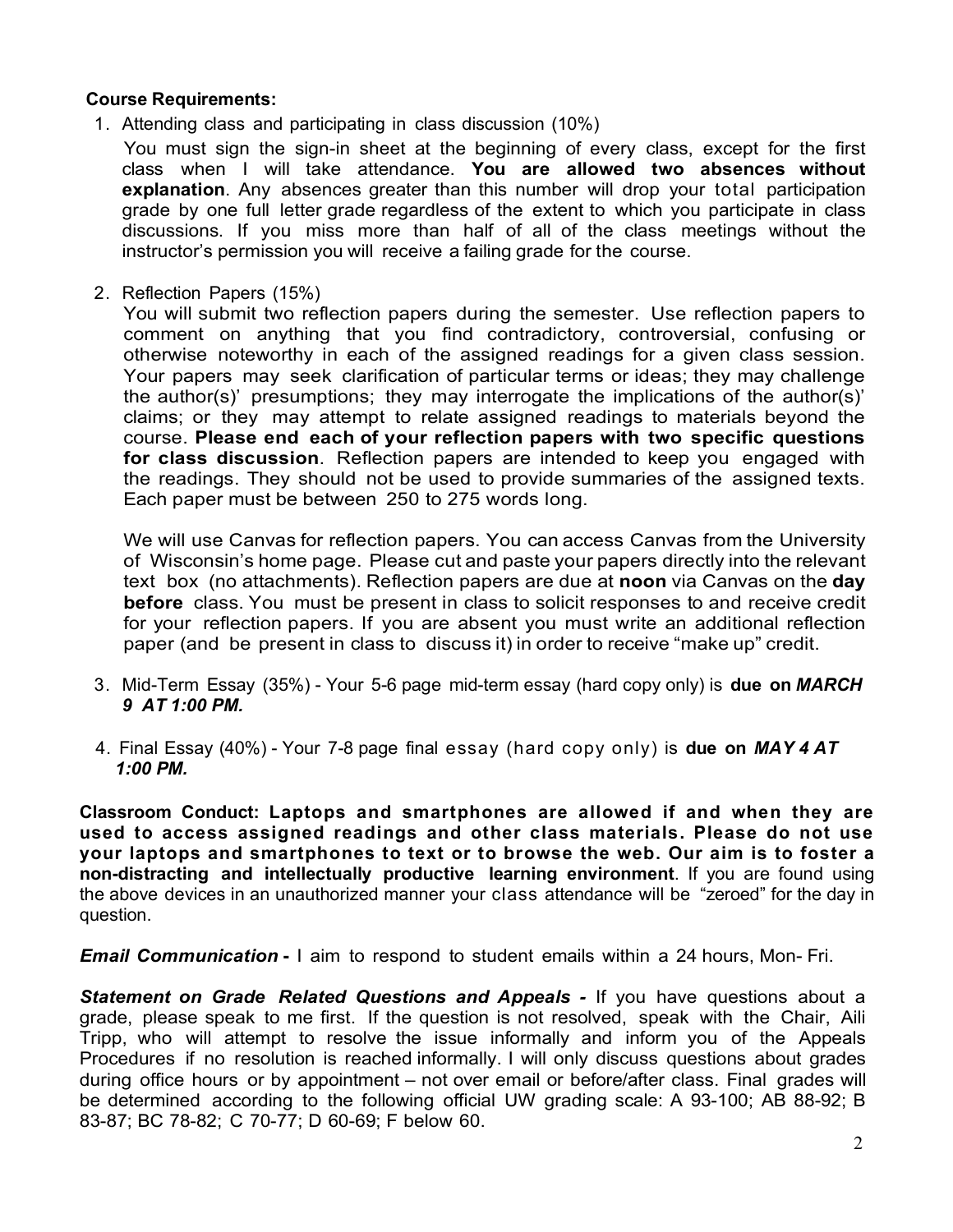#### **Course Requirements:**

1. Attending class and participating in class discussion (10%)

You must sign the sign-in sheet at the beginning of every class, except for the first class when I will take attendance. **You are allowed two absences without explanation**. Any absences greater than this number will drop your total participation grade by one full letter grade regardless of the extent to which you participate in class discussions. If you miss more than half of all of the class meetings without the instructor's permission you will receive a failing grade for the course.

2. Reflection Papers (15%)

You will submit two reflection papers during the semester. Use reflection papers to comment on anything that you find contradictory, controversial, confusing or otherwise noteworthy in each of the assigned readings for a given class session. Your papers may seek clarification of particular terms or ideas; they may challenge the author(s)' presumptions; they may interrogate the implications of the author(s)' claims; or they may attempt to relate assigned readings to materials beyond the course. **Please end each of your reflection papers with two specific questions for class discussion**. Reflection papers are intended to keep you engaged with the readings. They should not be used to provide summaries of the assigned texts. Each paper must be between 250 to 275 words long.

We will use Canvas for reflection papers. You can access Canvas from the University of Wisconsin's home page. Please cut and paste your papers directly into the relevant text box (no attachments). Reflection papers are due at **noon** via Canvas on the **day before** class. You must be present in class to solicit responses to and receive credit for your reflection papers. If you are absent you must write an additional reflection paper (and be present in class to discuss it) in order to receive "make up" credit.

- 3. Mid-Term Essay (35%) Your 5-6 page mid-term essay (hard copy only) is **due on** *MARCH 9 AT 1:00 PM.*
- 4. Final Essay (40%) Your 7-8 page final essay (hard copy only) is **due on** *MAY 4 AT 1:00 PM.*

**Classroom Conduct: Laptops and smartphones are allowed if and when they are used to access assigned readings and other class materials. Please do not use your laptops and smartphones to text or to browse the web. Our aim is to foster a non-distracting and intellectually productive learning environment**. If you are found using the above devices in an unauthorized manner your class attendance will be "zeroed" for the day in question.

*Email Communication* **-** I aim to respond to student emails within a 24 hours, Mon- Fri.

*Statement on Grade Related Questions and Appeals -* If you have questions about a grade, please speak to me first. If the question is not resolved, speak with the Chair, Aili Tripp, who will attempt to resolve the issue informally and inform you of the Appeals Procedures if no resolution is reached informally. I will only discuss questions about grades during office hours or by appointment – not over email or before/after class. Final grades will be determined according to the following official UW grading scale: A 93-100; AB 88-92; B 83-87; BC 78-82; C 70-77; D 60-69; F below 60.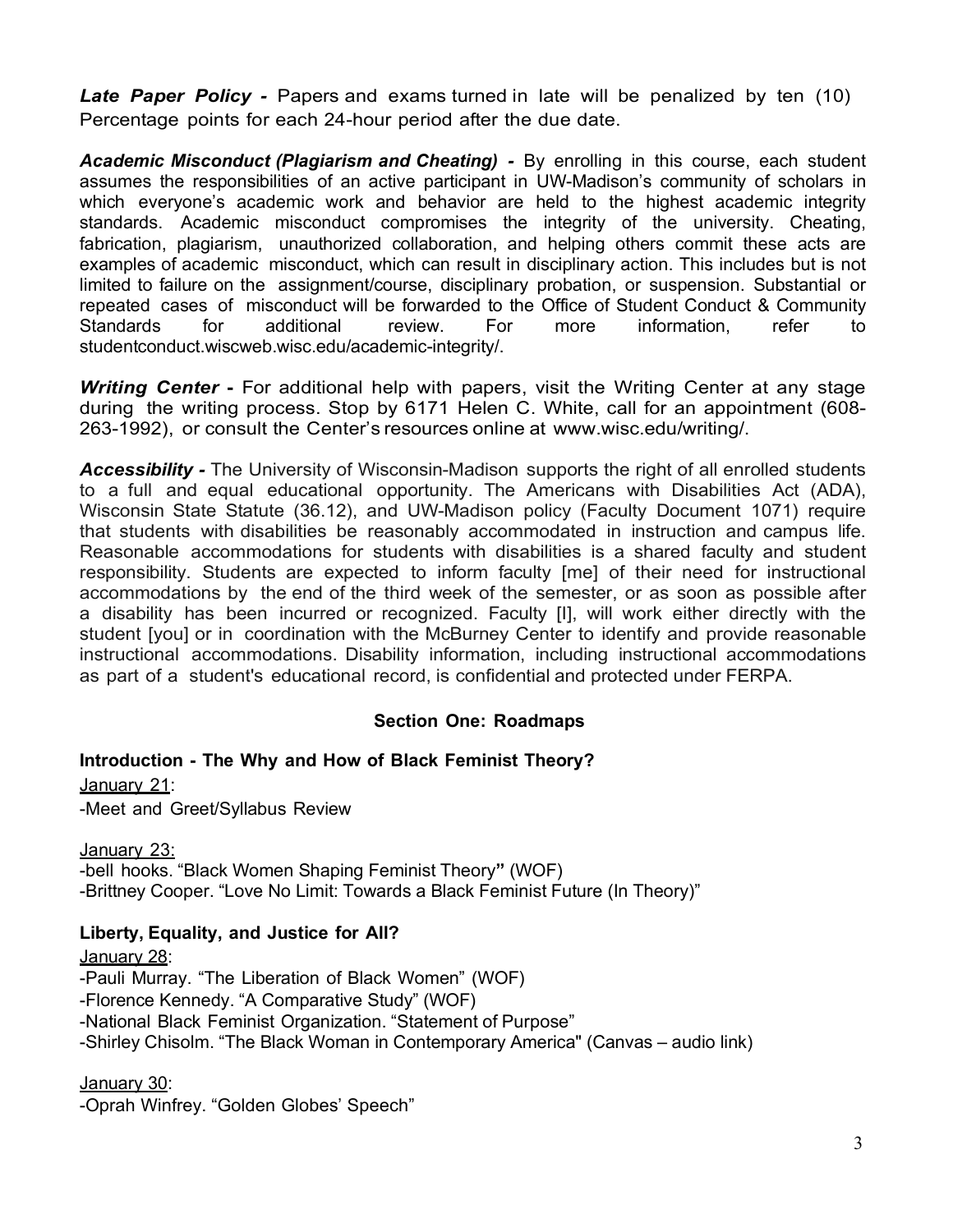*Late Paper Policy -* Papers and exams turned in late will be penalized by ten (10) Percentage points for each 24-hour period after the due date.

*Academic Misconduct (Plagiarism and Cheating) -* By enrolling in this course, each student assumes the responsibilities of an active participant in UW-Madison's community of scholars in which everyone's academic work and behavior are held to the highest academic integrity standards. Academic misconduct compromises the integrity of the university. Cheating, fabrication, plagiarism, unauthorized collaboration, and helping others commit these acts are examples of academic misconduct, which can result in disciplinary action. This includes but is not limited to failure on the assignment/course, disciplinary probation, or suspension. Substantial or repeated cases of misconduct will be forwarded to the Office of Student Conduct & Community Standards for additional review. For more information, refer to studentconduct.wiscweb.wisc.edu/academic-integrity/.

*Writing Center* **-** For additional help with papers, visit the Writing Center at any stage during the writing process. Stop by 6171 Helen C. White, call for an appointment (608- 263-1992), or consult the Center's resources online at www.wisc.edu/writing/.

*Accessibility -* The University of Wisconsin-Madison supports the right of all enrolled students to a full and equal educational opportunity. The Americans with Disabilities Act (ADA), Wisconsin State Statute (36.12), and UW-Madison policy (Faculty Document 1071) require that students with disabilities be reasonably accommodated in instruction and campus life. Reasonable accommodations for students with disabilities is a shared faculty and student responsibility. Students are expected to inform faculty [me] of their need for instructional accommodations by the end of the third week of the semester, or as soon as possible after a disability has been incurred or recognized. Faculty [I], will work either directly with the student [you] or in coordination with the McBurney Center to identify and provide reasonable instructional accommodations. Disability information, including instructional accommodations as part of a student's educational record, is confidential and protected under FERPA.

### **Section One: Roadmaps**

#### **Introduction - The Why and How of Black Feminist Theory?**

January 21:

-Meet and Greet/Syllabus Review

January 23: -bell hooks. "Black Women Shaping Feminist Theory**"** (WOF) -Brittney Cooper. "Love No Limit: Towards a Black Feminist Future (In Theory)"

#### **Liberty, Equality, and Justice for All?**

January 28: -Pauli Murray. "The Liberation of Black Women" (WOF) -Florence Kennedy. "A Comparative Study" (WOF) -National Black Feminist Organization. "Statement of Purpose" -Shirley Chisolm. "The Black Woman in Contemporary America" (Canvas – audio link)

January 30:

-Oprah Winfrey. "Golden Globes' Speech"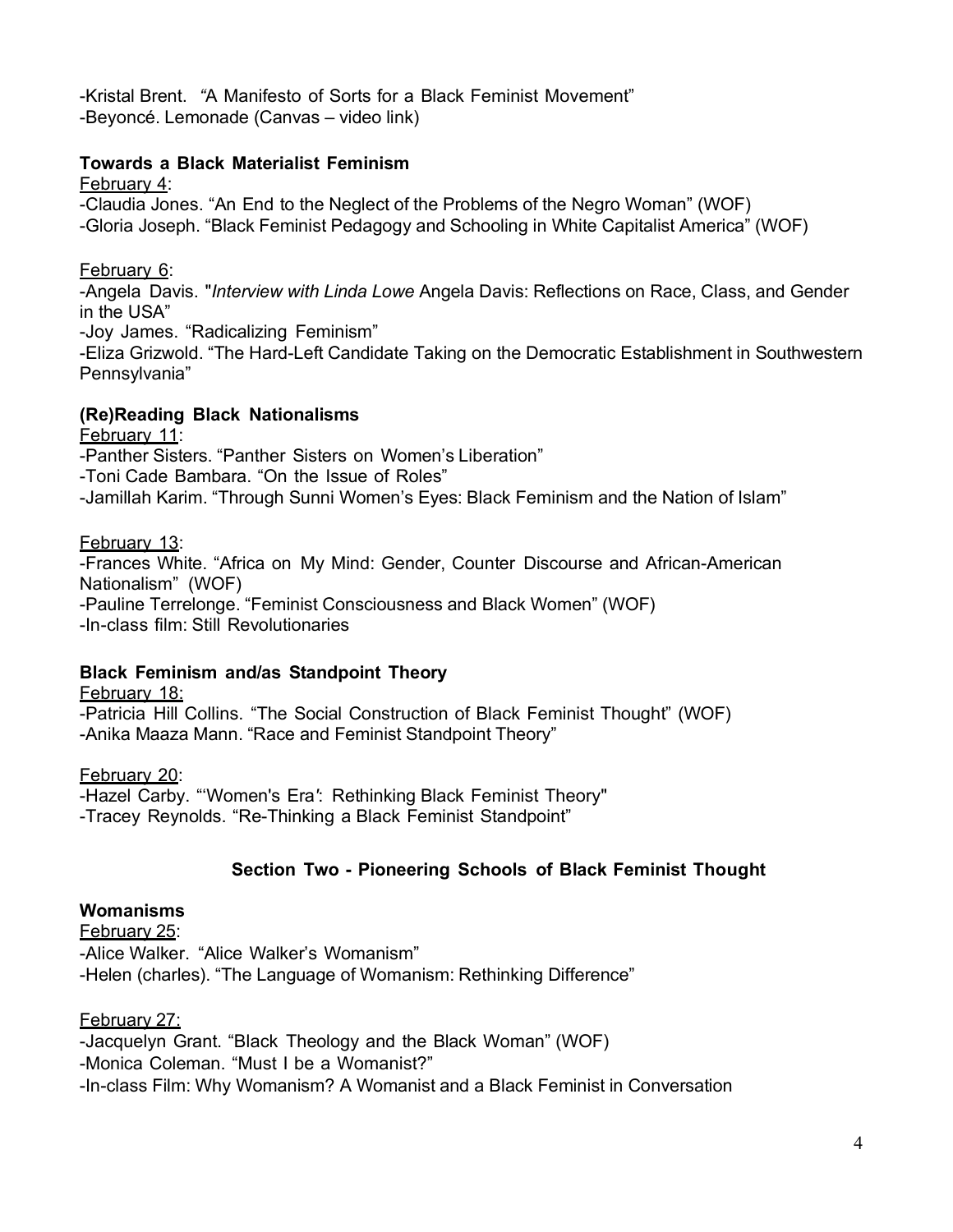-Kristal Brent. *"*A Manifesto of Sorts for a Black Feminist Movement" -Beyoncé. Lemonade (Canvas – video link)

#### **Towards a Black Materialist Feminism**

February 4:

-Claudia Jones. "An End to the Neglect of the Problems of the Negro Woman" (WOF) -Gloria Joseph. "Black Feminist Pedagogy and Schooling in White Capitalist America" (WOF)

#### February 6:

-Angela Davis. "*Interview with Linda Lowe* Angela Davis: Reflections on Race, Class, and Gender in the USA"

-Joy James. "Radicalizing Feminism"

-Eliza Grizwold. "The Hard-Left Candidate Taking on the Democratic Establishment in Southwestern Pennsylvania"

#### **(Re)Reading Black Nationalisms**

February 11:

-Panther Sisters. "Panther Sisters on Women's Liberation"

-Toni Cade Bambara. "On the Issue of Roles"

-Jamillah Karim. "Through Sunni Women's Eyes: Black Feminism and the Nation of Islam"

#### February 13:

-Frances White. "Africa on My Mind: Gender, Counter Discourse and African-American Nationalism" (WOF) -Pauline Terrelonge. "Feminist Consciousness and Black Women" (WOF) -In-class film: Still Revolutionaries

### **Black Feminism and/as Standpoint Theory**

February 18:

-Patricia Hill Collins. "The Social Construction of Black Feminist Thought" (WOF) -Anika Maaza Mann. "Race and Feminist Standpoint Theory"

February 20:

-Hazel Carby. "'Women's Era*'*: Rethinking Black Feminist Theory" -Tracey Reynolds. "Re-Thinking a Black Feminist Standpoint"

### **Section Two - Pioneering Schools of Black Feminist Thought**

#### **Womanisms**

February 25: -Alice Walker. "Alice Walker's Womanism" -Helen (charles). "The Language of Womanism: Rethinking Difference"

### February 27:

-Jacquelyn Grant. "Black Theology and the Black Woman" (WOF) -Monica Coleman. "Must I be a Womanist?" -In-class Film: Why Womanism? A Womanist and a Black Feminist in Conversation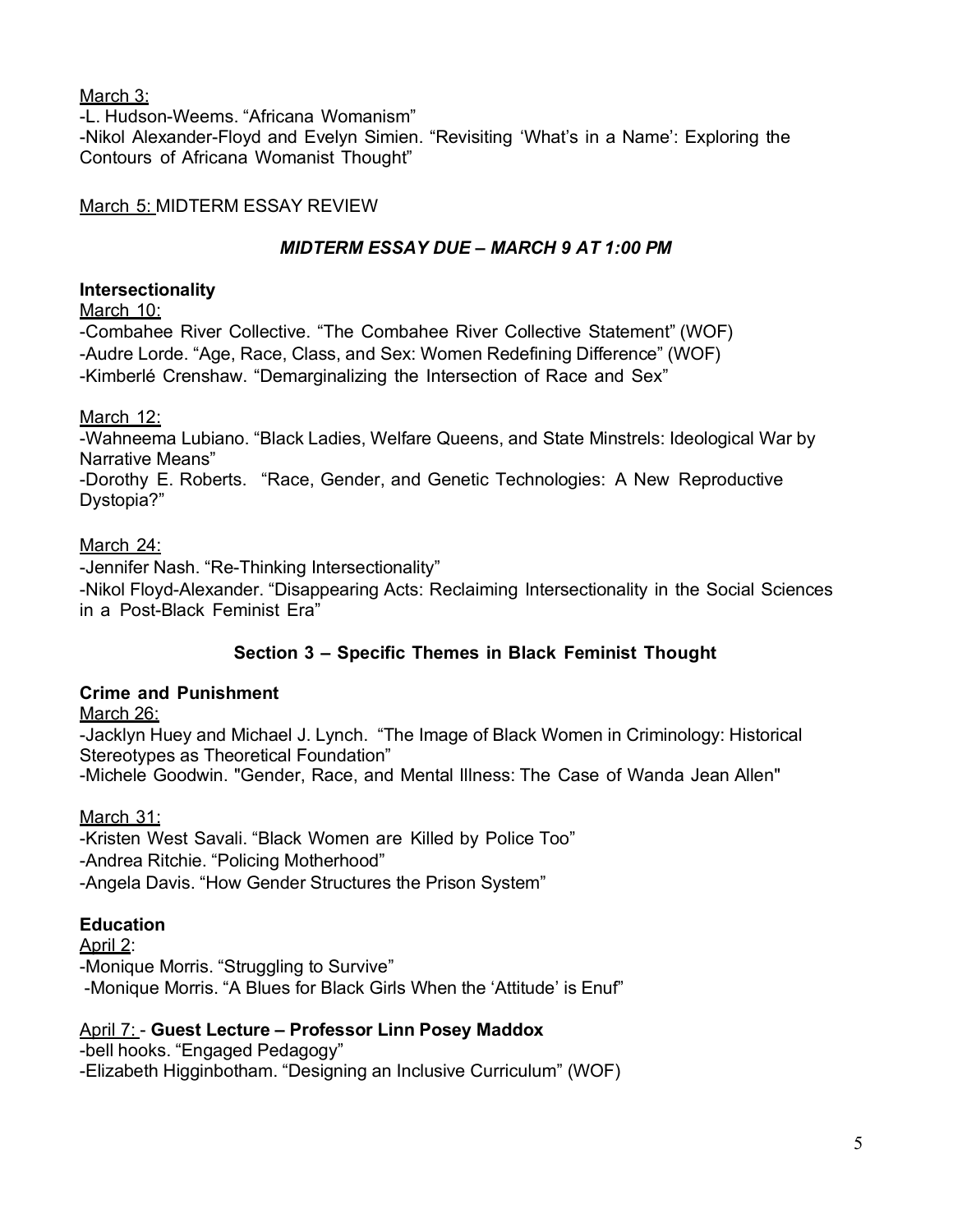March 3:

-L. Hudson-Weems. "Africana Womanism" -Nikol Alexander-Floyd and Evelyn Simien. "Revisiting 'What's in a Name': Exploring the Contours of Africana Womanist Thought"

### March 5: MIDTERM ESSAY REVIEW

## *MIDTERM ESSAY DUE – MARCH 9 AT 1:00 PM*

### **Intersectionality**

March 10:

-Combahee River Collective. "The Combahee River Collective Statement" (WOF) -Audre Lorde. "Age, Race, Class, and Sex: Women Redefining Difference" (WOF) -Kimberlé Crenshaw. "Demarginalizing the Intersection of Race and Sex"

### March 12:

-Wahneema Lubiano. "Black Ladies, Welfare Queens, and State Minstrels: Ideological War by Narrative Means"

-Dorothy E. Roberts. "Race, Gender, and Genetic Technologies: A New Reproductive Dystopia?"

## March 24:

-Jennifer Nash. "Re-Thinking Intersectionality" -Nikol Floyd-Alexander. "Disappearing Acts: Reclaiming Intersectionality in the Social Sciences in a Post-Black Feminist Era"

# **Section 3 – Specific Themes in Black Feminist Thought**

# **Crime and Punishment**

March 26:

-Jacklyn Huey and Michael J. Lynch. "The Image of Black Women in Criminology: Historical Stereotypes as Theoretical Foundation" -Michele Goodwin. "Gender, Race, and Mental Illness: The Case of Wanda Jean Allen"

# March 31:

-Kristen West Savali. "Black Women are Killed by Police Too" -Andrea Ritchie. "Policing Motherhood" -Angela Davis. "How Gender Structures the Prison System"

# **Education**

April 2:

-Monique Morris. "Struggling to Survive" -Monique Morris. "A Blues for Black Girls When the 'Attitude' is Enuf"

# April 7: - **Guest Lecture – Professor Linn Posey Maddox**

-bell hooks. "Engaged Pedagogy" -Elizabeth Higginbotham. "Designing an Inclusive Curriculum" (WOF)